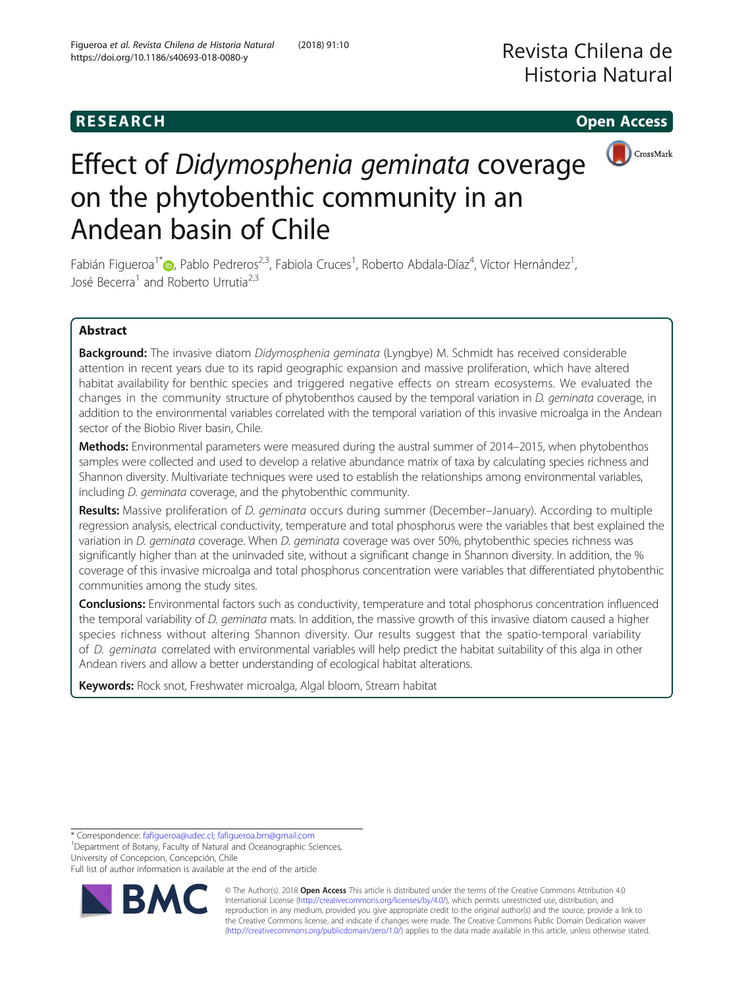

# Effect of Didymosphenia geminata coverage on the phytobenthic community in an Andean basin of Chile

Fabián Figueroa<sup>1\*</sup> (**p**, Pablo Pedreros<sup>2,3</sup>, Fabiola Cruces<sup>1</sup>, Roberto Abdala-Díaz<sup>4</sup>, Víctor Hernández<sup>1</sup> , José Becerra<sup>1</sup> and Roberto Urrutia<sup>2,3</sup>

## Abstract

Background: The invasive diatom Didymosphenia geminata (Lyngbye) M. Schmidt has received considerable attention in recent years due to its rapid geographic expansion and massive proliferation, which have altered habitat availability for benthic species and triggered negative effects on stream ecosystems. We evaluated the changes in the community structure of phytobenthos caused by the temporal variation in D. geminata coverage, in addition to the environmental variables correlated with the temporal variation of this invasive microalga in the Andean sector of the Biobio River basin, Chile.

**Methods:** Environmental parameters were measured during the austral summer of 2014–2015, when phytobenthos samples were collected and used to develop a relative abundance matrix of taxa by calculating species richness and Shannon diversity. Multivariate techniques were used to establish the relationships among environmental variables, including D. geminata coverage, and the phytobenthic community.

Results: Massive proliferation of D. geminata occurs during summer (December–January). According to multiple regression analysis, electrical conductivity, temperature and total phosphorus were the variables that best explained the variation in D. geminata coverage. When D. geminata coverage was over 50%, phytobenthic species richness was significantly higher than at the uninvaded site, without a significant change in Shannon diversity. In addition, the % coverage of this invasive microalga and total phosphorus concentration were variables that differentiated phytobenthic communities among the study sites.

**Conclusions:** Environmental factors such as conductivity, temperature and total phosphorus concentration influenced the temporal variability of D. geminata mats. In addition, the massive growth of this invasive diatom caused a higher species richness without altering Shannon diversity. Our results suggest that the spatio-temporal variability of D. geminata correlated with environmental variables will help predict the habitat suitability of this alga in other Andean rivers and allow a better understanding of ecological habitat alterations.

Keywords: Rock snot, Freshwater microalga, Algal bloom, Stream habitat

\* Correspondence: [fafigueroa@udec.cl;](mailto:fafigueroa@udec.cl) [fafigueroa.bm@gmail.com](mailto:fafigueroa.bm@gmail.com) <sup>1</sup>

<sup>1</sup>Department of Botany, Faculty of Natural and Oceanographic Sciences, University of Concepcion, Concepción, Chile

Full list of author information is available at the end of the article



© The Author(s). 2018 Open Access This article is distributed under the terms of the Creative Commons Attribution 4.0 International License [\(http://creativecommons.org/licenses/by/4.0/](http://creativecommons.org/licenses/by/4.0/)), which permits unrestricted use, distribution, and reproduction in any medium, provided you give appropriate credit to the original author(s) and the source, provide a link to the Creative Commons license, and indicate if changes were made. The Creative Commons Public Domain Dedication waiver [\(http://creativecommons.org/publicdomain/zero/1.0/](http://creativecommons.org/publicdomain/zero/1.0/)) applies to the data made available in this article, unless otherwise stated.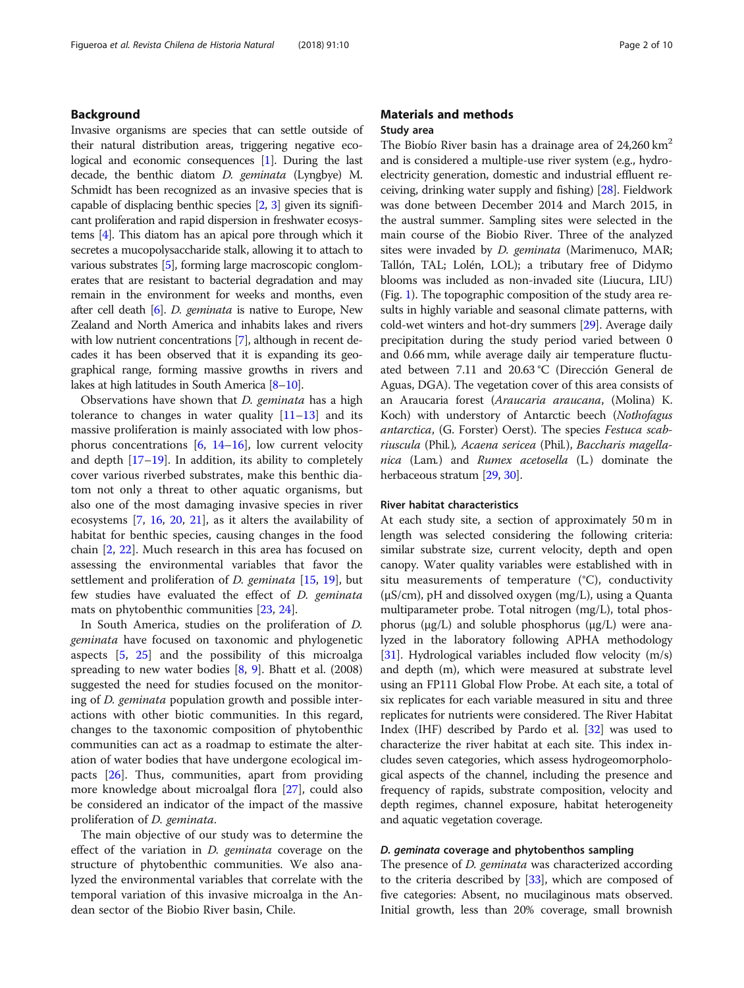## Background

Invasive organisms are species that can settle outside of their natural distribution areas, triggering negative ecological and economic consequences [[1\]](#page-8-0). During the last decade, the benthic diatom D. geminata (Lyngbye) M. Schmidt has been recognized as an invasive species that is capable of displacing benthic species [\[2](#page-8-0), [3\]](#page-8-0) given its significant proliferation and rapid dispersion in freshwater ecosystems [\[4\]](#page-8-0). This diatom has an apical pore through which it secretes a mucopolysaccharide stalk, allowing it to attach to various substrates [\[5\]](#page-8-0), forming large macroscopic conglomerates that are resistant to bacterial degradation and may remain in the environment for weeks and months, even after cell death [\[6](#page-8-0)]. D. geminata is native to Europe, New Zealand and North America and inhabits lakes and rivers with low nutrient concentrations [\[7\]](#page-8-0), although in recent decades it has been observed that it is expanding its geographical range, forming massive growths in rivers and lakes at high latitudes in South America [\[8](#page-8-0)–[10](#page-8-0)].

Observations have shown that D. geminata has a high tolerance to changes in water quality  $[11-13]$  $[11-13]$  $[11-13]$  $[11-13]$  $[11-13]$  and its massive proliferation is mainly associated with low phosphorus concentrations  $[6, 14-16]$  $[6, 14-16]$  $[6, 14-16]$  $[6, 14-16]$  $[6, 14-16]$  $[6, 14-16]$ , low current velocity and depth  $[17–19]$  $[17–19]$  $[17–19]$  $[17–19]$  $[17–19]$ . In addition, its ability to completely cover various riverbed substrates, make this benthic diatom not only a threat to other aquatic organisms, but also one of the most damaging invasive species in river ecosystems [\[7](#page-8-0), [16](#page-9-0), [20,](#page-9-0) [21\]](#page-9-0), as it alters the availability of habitat for benthic species, causing changes in the food chain [\[2](#page-8-0), [22\]](#page-9-0). Much research in this area has focused on assessing the environmental variables that favor the settlement and proliferation of *D. geminata* [\[15](#page-9-0), [19](#page-9-0)], but few studies have evaluated the effect of D. geminata mats on phytobenthic communities [\[23](#page-9-0), [24](#page-9-0)].

In South America, studies on the proliferation of D. geminata have focused on taxonomic and phylogenetic aspects [[5](#page-8-0), [25\]](#page-9-0) and the possibility of this microalga spreading to new water bodies [[8,](#page-8-0) [9](#page-8-0)]. Bhatt et al. (2008) suggested the need for studies focused on the monitoring of D. geminata population growth and possible interactions with other biotic communities. In this regard, changes to the taxonomic composition of phytobenthic communities can act as a roadmap to estimate the alteration of water bodies that have undergone ecological impacts [[26\]](#page-9-0). Thus, communities, apart from providing more knowledge about microalgal flora [[27\]](#page-9-0), could also be considered an indicator of the impact of the massive proliferation of D. geminata.

The main objective of our study was to determine the effect of the variation in D. geminata coverage on the structure of phytobenthic communities. We also analyzed the environmental variables that correlate with the temporal variation of this invasive microalga in the Andean sector of the Biobio River basin, Chile.

## Materials and methods Study area

The Biobío River basin has a drainage area of  $24,260 \mathrm{km}^2$ and is considered a multiple-use river system (e.g., hydroelectricity generation, domestic and industrial effluent receiving, drinking water supply and fishing) [\[28\]](#page-9-0). Fieldwork was done between December 2014 and March 2015, in the austral summer. Sampling sites were selected in the main course of the Biobio River. Three of the analyzed sites were invaded by *D. geminata* (Marimenuco, MAR; Tallón, TAL; Lolén, LOL); a tributary free of Didymo blooms was included as non-invaded site (Liucura, LIU) (Fig. [1](#page-2-0)). The topographic composition of the study area results in highly variable and seasonal climate patterns, with cold-wet winters and hot-dry summers [\[29\]](#page-9-0). Average daily precipitation during the study period varied between 0 and 0.66 mm, while average daily air temperature fluctuated between 7.11 and 20.63 °C (Dirección General de Aguas, DGA). The vegetation cover of this area consists of an Araucaria forest (Araucaria araucana, (Molina) K. Koch) with understory of Antarctic beech (Nothofagus antarctica, (G. Forster) Oerst). The species Festuca scabriuscula (Phil.), Acaena sericea (Phil.), Baccharis magellanica (Lam.) and Rumex acetosella (L.) dominate the herbaceous stratum [\[29,](#page-9-0) [30](#page-9-0)].

## River habitat characteristics

At each study site, a section of approximately 50 m in length was selected considering the following criteria: similar substrate size, current velocity, depth and open canopy. Water quality variables were established with in situ measurements of temperature (°C), conductivity  $(\mu S/cm)$ , pH and dissolved oxygen  $(mg/L)$ , using a Quanta multiparameter probe. Total nitrogen (mg/L), total phosphorus ( $\mu$ g/L) and soluble phosphorus ( $\mu$ g/L) were analyzed in the laboratory following APHA methodology [[31](#page-9-0)]. Hydrological variables included flow velocity (m/s) and depth (m), which were measured at substrate level using an FP111 Global Flow Probe. At each site, a total of six replicates for each variable measured in situ and three replicates for nutrients were considered. The River Habitat Index (IHF) described by Pardo et al. [[32\]](#page-9-0) was used to characterize the river habitat at each site. This index includes seven categories, which assess hydrogeomorphological aspects of the channel, including the presence and frequency of rapids, substrate composition, velocity and depth regimes, channel exposure, habitat heterogeneity and aquatic vegetation coverage.

## D. geminata coverage and phytobenthos sampling

The presence of *D. geminata* was characterized according to the criteria described by [\[33](#page-9-0)], which are composed of five categories: Absent, no mucilaginous mats observed. Initial growth, less than 20% coverage, small brownish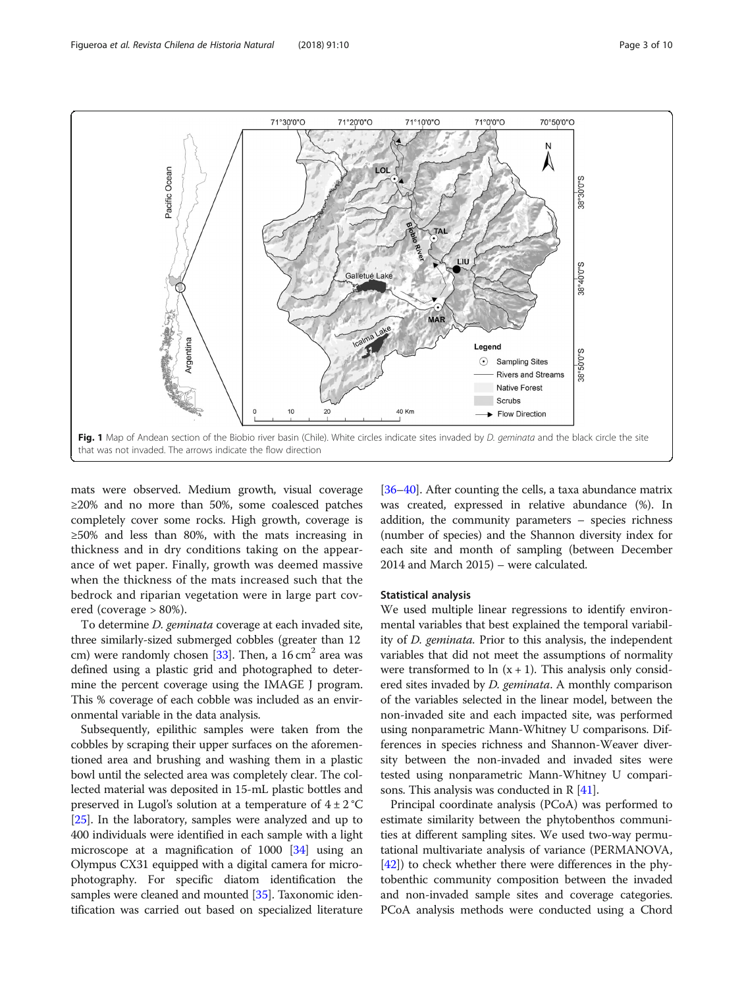<span id="page-2-0"></span>

mats were observed. Medium growth, visual coverage ≥20% and no more than 50%, some coalesced patches completely cover some rocks. High growth, coverage is ≥50% and less than 80%, with the mats increasing in thickness and in dry conditions taking on the appearance of wet paper. Finally, growth was deemed massive when the thickness of the mats increased such that the bedrock and riparian vegetation were in large part covered (coverage > 80%).

To determine D. geminata coverage at each invaded site, three similarly-sized submerged cobbles (greater than 12 cm) were randomly chosen  $[33]$ . Then, a 16 cm<sup>2</sup> area was defined using a plastic grid and photographed to determine the percent coverage using the IMAGE J program. This % coverage of each cobble was included as an environmental variable in the data analysis.

Subsequently, epilithic samples were taken from the cobbles by scraping their upper surfaces on the aforementioned area and brushing and washing them in a plastic bowl until the selected area was completely clear. The collected material was deposited in 15-mL plastic bottles and preserved in Lugol's solution at a temperature of  $4 \pm 2$  °C [[25](#page-9-0)]. In the laboratory, samples were analyzed and up to 400 individuals were identified in each sample with a light microscope at a magnification of 1000 [[34](#page-9-0)] using an Olympus CX31 equipped with a digital camera for microphotography. For specific diatom identification the samples were cleaned and mounted [[35](#page-9-0)]. Taxonomic identification was carried out based on specialized literature

[[36](#page-9-0)–[40\]](#page-9-0). After counting the cells, a taxa abundance matrix was created, expressed in relative abundance (%). In addition, the community parameters – species richness (number of species) and the Shannon diversity index for each site and month of sampling (between December 2014 and March 2015) – were calculated.

### Statistical analysis

We used multiple linear regressions to identify environmental variables that best explained the temporal variability of D. geminata. Prior to this analysis, the independent variables that did not meet the assumptions of normality were transformed to  $\ln(x + 1)$ . This analysis only considered sites invaded by *D. geminata*. A monthly comparison of the variables selected in the linear model, between the non-invaded site and each impacted site, was performed using nonparametric Mann-Whitney U comparisons. Differences in species richness and Shannon-Weaver diversity between the non-invaded and invaded sites were tested using nonparametric Mann-Whitney U comparisons. This analysis was conducted in  $R$  [[41\]](#page-9-0).

Principal coordinate analysis (PCoA) was performed to estimate similarity between the phytobenthos communities at different sampling sites. We used two-way permutational multivariate analysis of variance (PERMANOVA, [[42](#page-9-0)]) to check whether there were differences in the phytobenthic community composition between the invaded and non-invaded sample sites and coverage categories. PCoA analysis methods were conducted using a Chord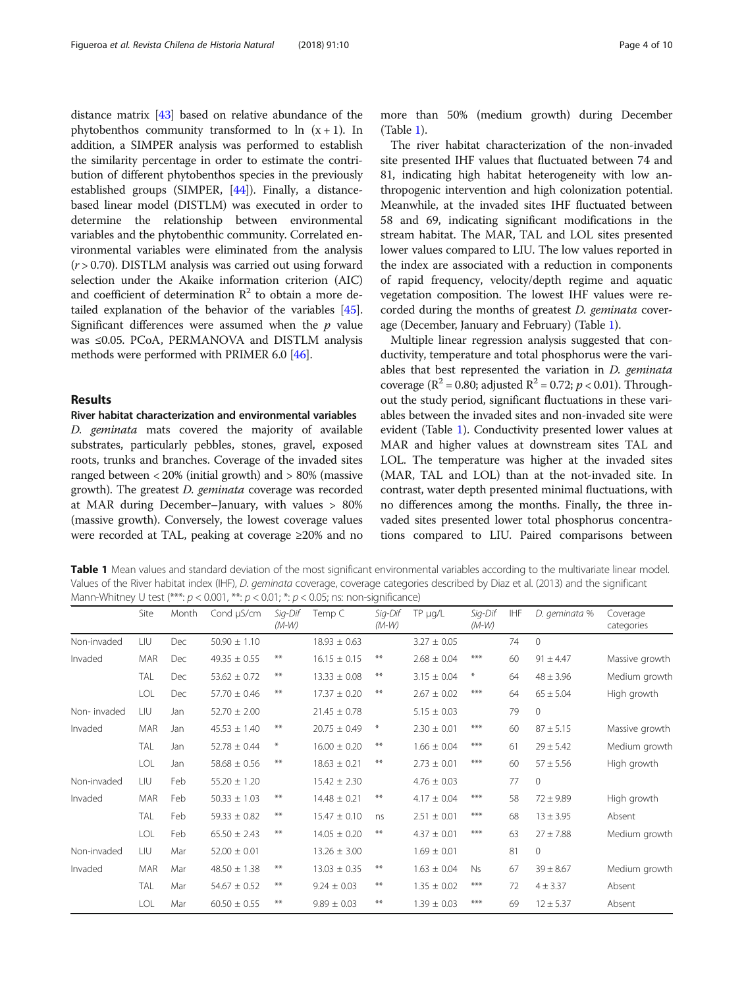<span id="page-3-0"></span>distance matrix [\[43\]](#page-9-0) based on relative abundance of the phytobenthos community transformed to  $\ln (x + 1)$ . In addition, a SIMPER analysis was performed to establish the similarity percentage in order to estimate the contribution of different phytobenthos species in the previously established groups (SIMPER, [\[44\]](#page-9-0)). Finally, a distancebased linear model (DISTLM) was executed in order to determine the relationship between environmental variables and the phytobenthic community. Correlated environmental variables were eliminated from the analysis  $(r > 0.70)$ . DISTLM analysis was carried out using forward selection under the Akaike information criterion (AIC) and coefficient of determination  $\mathbb{R}^2$  to obtain a more detailed explanation of the behavior of the variables [[45](#page-9-0)]. Significant differences were assumed when the  $p$  value was ≤0.05. PCoA, PERMANOVA and DISTLM analysis methods were performed with PRIMER 6.0 [\[46\]](#page-9-0).

## Results

## River habitat characterization and environmental variables

D. geminata mats covered the majority of available substrates, particularly pebbles, stones, gravel, exposed roots, trunks and branches. Coverage of the invaded sites ranged between < 20% (initial growth) and > 80% (massive growth). The greatest D. geminata coverage was recorded at MAR during December–January, with values > 80% (massive growth). Conversely, the lowest coverage values were recorded at TAL, peaking at coverage ≥20% and no more than 50% (medium growth) during December (Table 1).

The river habitat characterization of the non-invaded site presented IHF values that fluctuated between 74 and 81, indicating high habitat heterogeneity with low anthropogenic intervention and high colonization potential. Meanwhile, at the invaded sites IHF fluctuated between 58 and 69, indicating significant modifications in the stream habitat. The MAR, TAL and LOL sites presented lower values compared to LIU. The low values reported in the index are associated with a reduction in components of rapid frequency, velocity/depth regime and aquatic vegetation composition. The lowest IHF values were recorded during the months of greatest *D. geminata* coverage (December, January and February) (Table 1).

Multiple linear regression analysis suggested that conductivity, temperature and total phosphorus were the variables that best represented the variation in D. geminata coverage ( $R^2 = 0.80$ ; adjusted  $R^2 = 0.72$ ;  $p < 0.01$ ). Throughout the study period, significant fluctuations in these variables between the invaded sites and non-invaded site were evident (Table 1). Conductivity presented lower values at MAR and higher values at downstream sites TAL and LOL. The temperature was higher at the invaded sites (MAR, TAL and LOL) than at the not-invaded site. In contrast, water depth presented minimal fluctuations, with no differences among the months. Finally, the three invaded sites presented lower total phosphorus concentrations compared to LIU. Paired comparisons between

Table 1 Mean values and standard deviation of the most significant environmental variables according to the multivariate linear model. Values of the River habitat index (IHF), D. geminata coverage, coverage categories described by Diaz et al. (2013) and the significant Mann-Whitney U test  $(***: p < 0.001, **: p < 0.01; **: p < 0.05;$  ns: non-significance)

|             | Site       | Month      | Cond µS/cm       | Sig-Dif<br>$(M-W)$ | Temp C           | Sig-Dif<br>$(M-W)$ | TP µg/L         | Sig-Dif<br>$(M-W)$ | <b>IHF</b> | D. geminata % | Coverage<br>categories |
|-------------|------------|------------|------------------|--------------------|------------------|--------------------|-----------------|--------------------|------------|---------------|------------------------|
| Non-invaded | LIU        | Dec        | $50.90 \pm 1.10$ |                    | $18.93 \pm 0.63$ |                    | $3.27 \pm 0.05$ |                    | 74         | $\Omega$      |                        |
| Invaded     | <b>MAR</b> | Dec        | $49.35 \pm 0.55$ | **                 | $16.15 \pm 0.15$ | $***$              | $2.68 \pm 0.04$ | ***                | 60         | $91 \pm 4.47$ | Massive growth         |
|             | TAL        | Dec.       | $53.62 \pm 0.72$ | $***$              | $13.33 \pm 0.08$ | $***$              | $3.15 \pm 0.04$ | $\ast$             | 64         | $48 \pm 3.96$ | Medium growth          |
|             | LOL        | <b>Dec</b> | $57.70 \pm 0.46$ | $***$              | $17.37 \pm 0.20$ | $***$              | $2.67 \pm 0.02$ | $***$              | 64         | $65 \pm 5.04$ | High growth            |
| Non-invaded | LIU        | Jan        | $52.70 \pm 2.00$ |                    | $21.45 \pm 0.78$ |                    | $5.15 \pm 0.03$ |                    | 79         | $\mathbf{0}$  |                        |
| Invaded     | <b>MAR</b> | Jan        | $45.53 \pm 1.40$ | $***$              | $20.75 \pm 0.49$ | $\ast$             | $2.30 \pm 0.01$ | $***$              | 60         | $87 \pm 5.15$ | Massive growth         |
|             | TAL        | Jan        | $52.78 \pm 0.44$ | $\ast$             | $16.00 \pm 0.20$ | $***$              | $1.66 \pm 0.04$ | $***$              | 61         | $29 \pm 5.42$ | Medium growth          |
|             | LOL        | Jan        | $58.68 \pm 0.56$ | **                 | $18.63 \pm 0.21$ | $***$              | $2.73 \pm 0.01$ | $***$              | 60         | $57 \pm 5.56$ | High growth            |
| Non-invaded | LIU        | Feb        | $55.20 \pm 1.20$ |                    | $15.42 \pm 2.30$ |                    | $4.76 \pm 0.03$ |                    | 77         | $\Omega$      |                        |
| Invaded     | <b>MAR</b> | Feb        | $50.33 \pm 1.03$ | **                 | $14.48 \pm 0.21$ | $***$              | $4.17 \pm 0.04$ | $***$              | 58         | $72 \pm 9.89$ | High growth            |
|             | TAL        | Feb        | $59.33 \pm 0.82$ | $***$              | $15.47 \pm 0.10$ | ns                 | $2.51 \pm 0.01$ | ***                | 68         | $13 \pm 3.95$ | Absent                 |
|             | LOL        | Feb        | $65.50 \pm 2.43$ | $***$              | $14.05 \pm 0.20$ | $***$              | $4.37 \pm 0.01$ | ***                | 63         | $27 \pm 7.88$ | Medium growth          |
| Non-invaded | LIU        | Mar        | $52.00 \pm 0.01$ |                    | $13.26 \pm 3.00$ |                    | $1.69 \pm 0.01$ |                    | 81         | 0             |                        |
| Invaded     | <b>MAR</b> | Mar        | $48.50 \pm 1.38$ | $***$              | $13.03 \pm 0.35$ | $***$              | $1.63 \pm 0.04$ | <b>Ns</b>          | 67         | $39 \pm 8.67$ | Medium growth          |
|             | TAL        | Mar        | $54.67 \pm 0.52$ | $***$              | $9.24 \pm 0.03$  | $***$              | $1.35 \pm 0.02$ | $***$              | 72         | $4 \pm 3.37$  | Absent                 |
|             | LOL        | Mar        | $60.50 \pm 0.55$ | $***$              | $9.89 \pm 0.03$  | $***$              | $1.39 \pm 0.03$ | ***                | 69         | $12 \pm 5.37$ | Absent                 |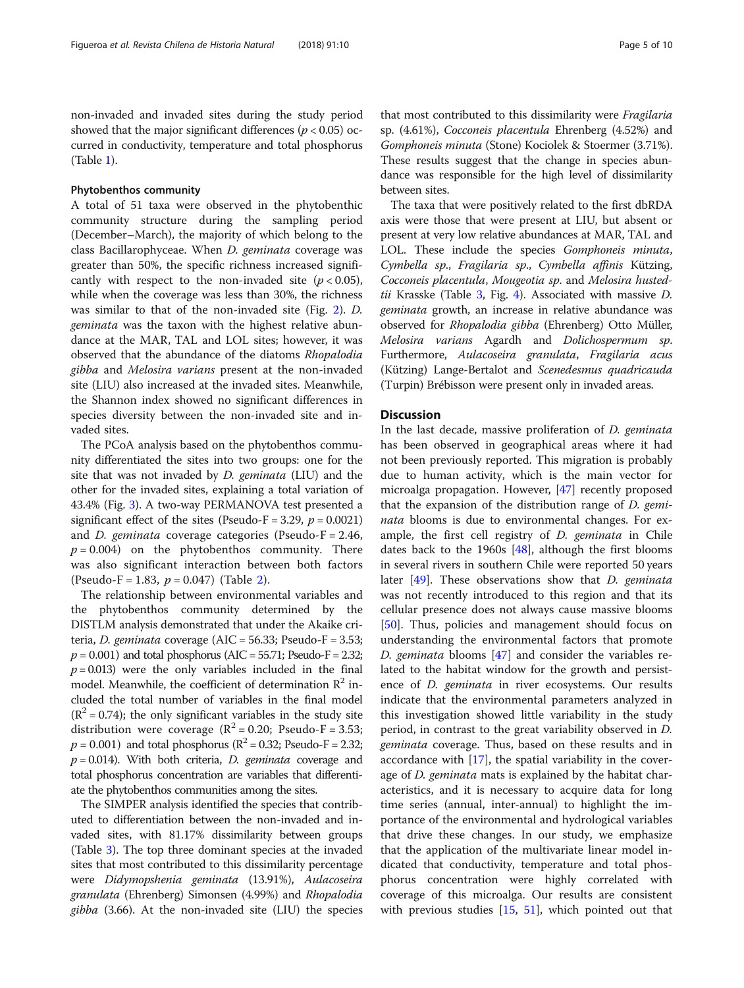non-invaded and invaded sites during the study period showed that the major significant differences ( $p < 0.05$ ) occurred in conductivity, temperature and total phosphorus  $(Table 1)$  $(Table 1)$ .

## Phytobenthos community

A total of 51 taxa were observed in the phytobenthic community structure during the sampling period (December–March), the majority of which belong to the class Bacillarophyceae. When D. geminata coverage was greater than 50%, the specific richness increased significantly with respect to the non-invaded site  $(p < 0.05)$ , while when the coverage was less than 30%, the richness was similar to that of the non-invaded site (Fig. [2\)](#page-5-0). D. geminata was the taxon with the highest relative abundance at the MAR, TAL and LOL sites; however, it was observed that the abundance of the diatoms Rhopalodia gibba and Melosira varians present at the non-invaded site (LIU) also increased at the invaded sites. Meanwhile, the Shannon index showed no significant differences in species diversity between the non-invaded site and invaded sites.

The PCoA analysis based on the phytobenthos community differentiated the sites into two groups: one for the site that was not invaded by  $D$ . geminata (LIU) and the other for the invaded sites, explaining a total variation of 43.4% (Fig. [3](#page-6-0)). A two-way PERMANOVA test presented a significant effect of the sites (Pseudo-F = 3.29,  $p = 0.0021$ ) and *D. geminata* coverage categories (Pseudo-F =  $2.46$ ,  $p = 0.004$ ) on the phytobenthos community. There was also significant interaction between both factors (Pseudo-F = 1.83,  $p = 0.047$ ) (Table [2\)](#page-6-0).

The relationship between environmental variables and the phytobenthos community determined by the DISTLM analysis demonstrated that under the Akaike criteria, D. geminata coverage (AIC = 56.33; Pseudo-F = 3.53;  $p = 0.001$ ) and total phosphorus (AIC = 55.71; Pseudo-F = 2.32;  $p = 0.013$ ) were the only variables included in the final model. Meanwhile, the coefficient of determination  $\mathbb{R}^2$  included the total number of variables in the final model  $(R^2 = 0.74)$ ; the only significant variables in the study site distribution were coverage ( $R^2 = 0.20$ ; Pseudo-F = 3.53;  $p = 0.001$ ) and total phosphorus ( $\mathbb{R}^2 = 0.32$ ; Pseudo-F = 2.32;  $p = 0.014$ ). With both criteria, D. geminata coverage and total phosphorus concentration are variables that differentiate the phytobenthos communities among the sites.

The SIMPER analysis identified the species that contributed to differentiation between the non-invaded and invaded sites, with 81.17% dissimilarity between groups (Table [3\)](#page-7-0). The top three dominant species at the invaded sites that most contributed to this dissimilarity percentage were Didymopshenia geminata (13.91%), Aulacoseira granulata (Ehrenberg) Simonsen (4.99%) and Rhopalodia gibba  $(3.66)$ . At the non-invaded site  $(LIU)$  the species

that most contributed to this dissimilarity were Fragilaria sp. (4.61%), Cocconeis placentula Ehrenberg (4.52%) and Gomphoneis minuta (Stone) Kociolek & Stoermer (3.71%). These results suggest that the change in species abundance was responsible for the high level of dissimilarity between sites.

The taxa that were positively related to the first dbRDA axis were those that were present at LIU, but absent or present at very low relative abundances at MAR, TAL and LOL. These include the species Gomphoneis minuta, Cymbella sp., Fragilaria sp., Cymbella affinis Kützing, Cocconeis placentula, Mougeotia sp. and Melosira husted-tii Krasske (Table [3](#page-7-0), Fig. [4\)](#page-7-0). Associated with massive D. geminata growth, an increase in relative abundance was observed for Rhopalodia gibba (Ehrenberg) Otto Müller, Melosira varians Agardh and Dolichospermum sp. Furthermore, Aulacoseira granulata, Fragilaria acus (Kützing) Lange-Bertalot and Scenedesmus quadricauda (Turpin) Brébisson were present only in invaded areas.

## **Discussion**

In the last decade, massive proliferation of D. geminata has been observed in geographical areas where it had not been previously reported. This migration is probably due to human activity, which is the main vector for microalga propagation. However, [\[47\]](#page-9-0) recently proposed that the expansion of the distribution range of D. geminata blooms is due to environmental changes. For example, the first cell registry of *D. geminata* in Chile dates back to the 1960s  $[48]$  $[48]$  $[48]$ , although the first blooms in several rivers in southern Chile were reported 50 years later  $[49]$  $[49]$ . These observations show that *D. geminata* was not recently introduced to this region and that its cellular presence does not always cause massive blooms [[50\]](#page-9-0). Thus, policies and management should focus on understanding the environmental factors that promote D. geminata blooms [[47](#page-9-0)] and consider the variables related to the habitat window for the growth and persistence of D. geminata in river ecosystems. Our results indicate that the environmental parameters analyzed in this investigation showed little variability in the study period, in contrast to the great variability observed in D. geminata coverage. Thus, based on these results and in accordance with [\[17](#page-9-0)], the spatial variability in the coverage of *D. geminata* mats is explained by the habitat characteristics, and it is necessary to acquire data for long time series (annual, inter-annual) to highlight the importance of the environmental and hydrological variables that drive these changes. In our study, we emphasize that the application of the multivariate linear model indicated that conductivity, temperature and total phosphorus concentration were highly correlated with coverage of this microalga. Our results are consistent with previous studies [[15,](#page-9-0) [51](#page-9-0)], which pointed out that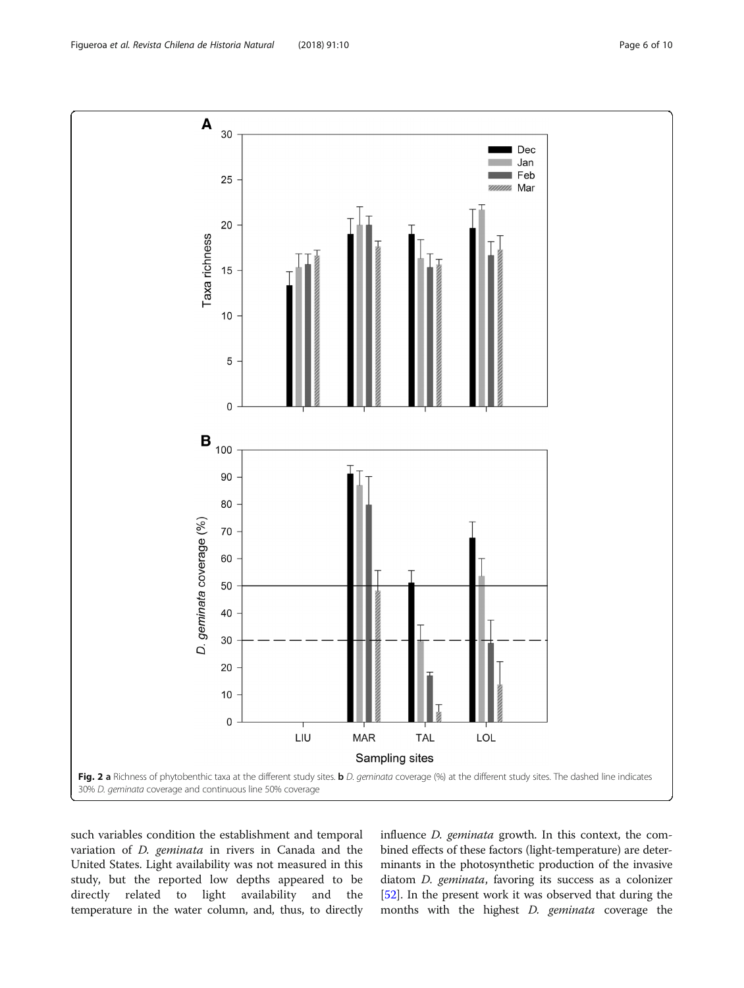<span id="page-5-0"></span>

such variables condition the establishment and temporal variation of D. geminata in rivers in Canada and the United States. Light availability was not measured in this study, but the reported low depths appeared to be directly related to light availability and the temperature in the water column, and, thus, to directly influence D. geminata growth. In this context, the combined effects of these factors (light-temperature) are determinants in the photosynthetic production of the invasive diatom D. geminata, favoring its success as a colonizer [[52](#page-9-0)]. In the present work it was observed that during the months with the highest D. geminata coverage the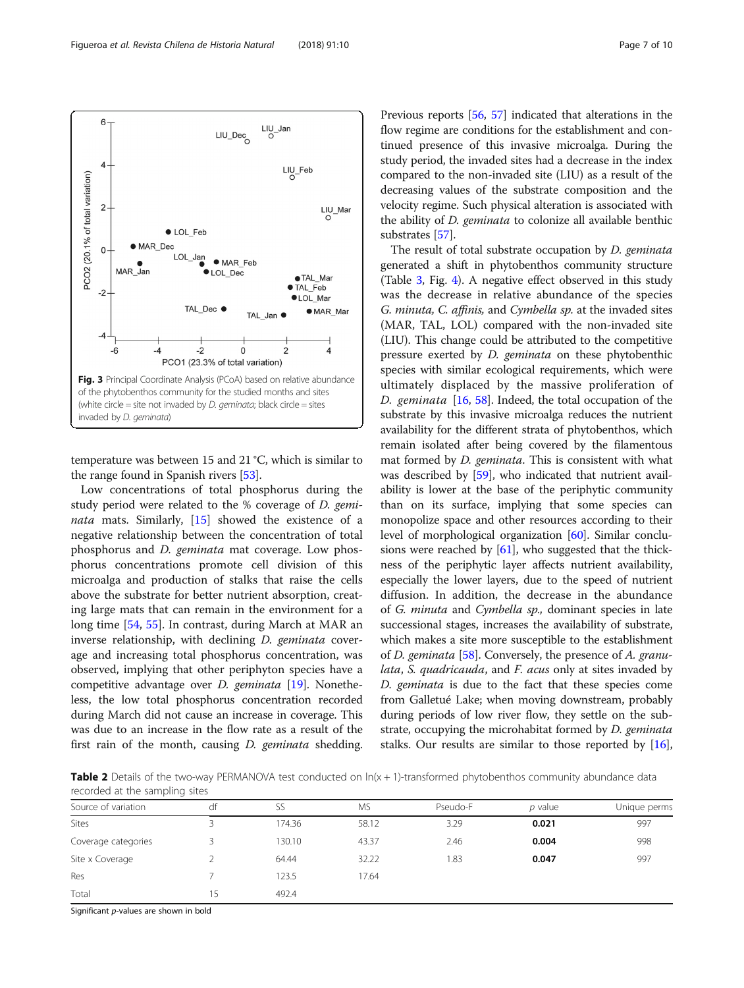<span id="page-6-0"></span>

temperature was between 15 and 21 °C, which is similar to the range found in Spanish rivers [[53](#page-9-0)].

Low concentrations of total phosphorus during the study period were related to the % coverage of D. gemi-nata mats. Similarly, [[15\]](#page-9-0) showed the existence of a negative relationship between the concentration of total phosphorus and D. geminata mat coverage. Low phosphorus concentrations promote cell division of this microalga and production of stalks that raise the cells above the substrate for better nutrient absorption, creating large mats that can remain in the environment for a long time [[54,](#page-9-0) [55\]](#page-9-0). In contrast, during March at MAR an inverse relationship, with declining D. geminata coverage and increasing total phosphorus concentration, was observed, implying that other periphyton species have a competitive advantage over D. geminata [[19\]](#page-9-0). Nonetheless, the low total phosphorus concentration recorded during March did not cause an increase in coverage. This was due to an increase in the flow rate as a result of the first rain of the month, causing D. geminata shedding.

Previous reports [[56](#page-9-0), [57\]](#page-9-0) indicated that alterations in the flow regime are conditions for the establishment and continued presence of this invasive microalga. During the study period, the invaded sites had a decrease in the index compared to the non-invaded site (LIU) as a result of the decreasing values of the substrate composition and the velocity regime. Such physical alteration is associated with the ability of D. geminata to colonize all available benthic substrates [\[57\]](#page-9-0).

The result of total substrate occupation by *D. geminata* generated a shift in phytobenthos community structure (Table [3](#page-7-0), Fig. [4\)](#page-7-0). A negative effect observed in this study was the decrease in relative abundance of the species G. minuta, C. affinis, and Cymbella sp. at the invaded sites (MAR, TAL, LOL) compared with the non-invaded site (LIU). This change could be attributed to the competitive pressure exerted by D. geminata on these phytobenthic species with similar ecological requirements, which were ultimately displaced by the massive proliferation of D. geminata [[16](#page-9-0), [58](#page-9-0)]. Indeed, the total occupation of the substrate by this invasive microalga reduces the nutrient availability for the different strata of phytobenthos, which remain isolated after being covered by the filamentous mat formed by D. geminata. This is consistent with what was described by [\[59](#page-9-0)], who indicated that nutrient availability is lower at the base of the periphytic community than on its surface, implying that some species can monopolize space and other resources according to their level of morphological organization [\[60\]](#page-9-0). Similar conclusions were reached by  $[61]$  $[61]$ , who suggested that the thickness of the periphytic layer affects nutrient availability, especially the lower layers, due to the speed of nutrient diffusion. In addition, the decrease in the abundance of G. minuta and Cymbella sp., dominant species in late successional stages, increases the availability of substrate, which makes a site more susceptible to the establishment of D. geminata [\[58\]](#page-9-0). Conversely, the presence of A. granulata, S. quadricauda, and F. acus only at sites invaded by D. geminata is due to the fact that these species come from Galletué Lake; when moving downstream, probably during periods of low river flow, they settle on the substrate, occupying the microhabitat formed by *D. geminata* stalks. Our results are similar to those reported by [[16](#page-9-0)],

Table 2 Details of the two-way PERMANOVA test conducted on ln(x + 1)-transformed phytobenthos community abundance data recorded at the sampling sites

| Source of variation                                     | df | ß      | <b>MS</b> | Pseudo-F | p value | Unique perms |
|---------------------------------------------------------|----|--------|-----------|----------|---------|--------------|
| <b>Sites</b>                                            |    | 174.36 | 58.12     | 3.29     | 0.021   | 997          |
| Coverage categories                                     |    | 130.10 | 43.37     | 2.46     | 0.004   | 998          |
| Site x Coverage                                         |    | 64.44  | 32.22     | 1.83     | 0.047   | 997          |
| Res                                                     |    | 123.5  | 17.64     |          |         |              |
| Total                                                   | 15 | 492.4  |           |          |         |              |
| Chambers of the continues and all accounts to the latel |    |        |           |          |         |              |

Significant p-values are shown in bold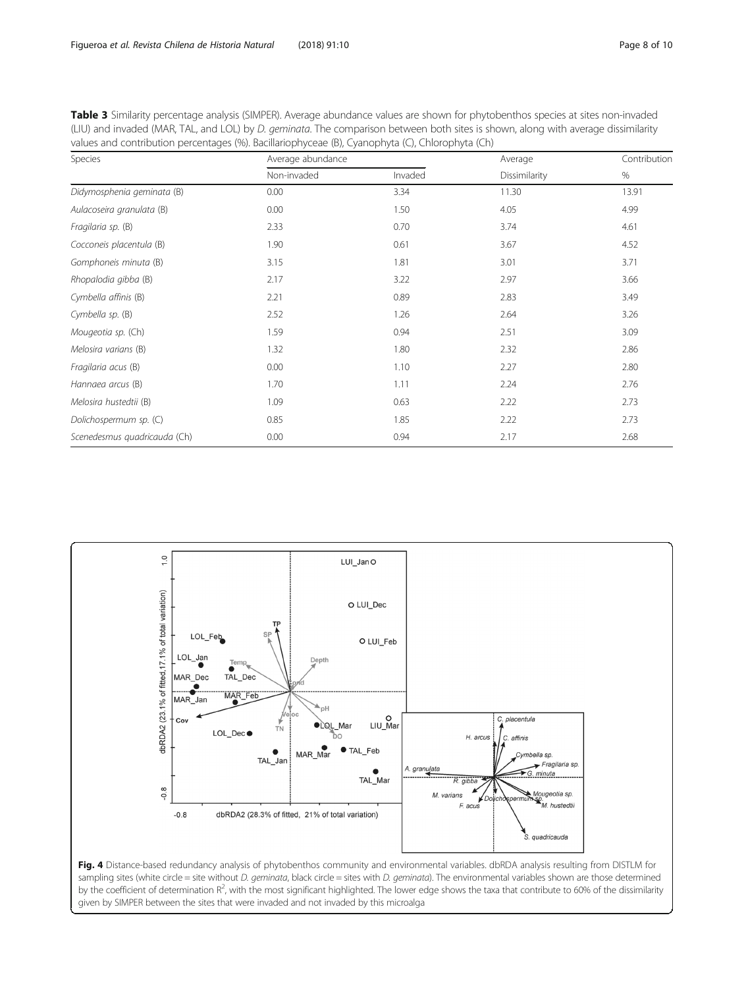<span id="page-7-0"></span>

| Table 3 Similarity percentage analysis (SIMPER). Average abundance values are shown for phytobenthos species at sites non-invaded          |  |
|--------------------------------------------------------------------------------------------------------------------------------------------|--|
| (LIU) and invaded (MAR, TAL, and LOL) by <i>D. geminata</i> . The comparison between both sites is shown, along with average dissimilarity |  |
| values and contribution percentages (%). Bacillariophyceae (B), Cyanophyta (C), Chlorophyta (Ch)                                           |  |

| Species                      | Average abundance |         | Average       | Contribution<br>$\%$ |  |
|------------------------------|-------------------|---------|---------------|----------------------|--|
|                              | Non-invaded       | Invaded | Dissimilarity |                      |  |
| Didymosphenia geminata (B)   | 0.00              | 3.34    | 11.30         | 13.91                |  |
| Aulacoseira granulata (B)    | 0.00              | 1.50    | 4.05          | 4.99                 |  |
| Fragilaria sp. (B)           | 2.33              | 0.70    | 3.74          | 4.61                 |  |
| Cocconeis placentula (B)     | 1.90              | 0.61    | 3.67          | 4.52                 |  |
| Gomphoneis minuta (B)        | 3.15              | 1.81    | 3.01          | 3.71                 |  |
| Rhopalodia gibba (B)         | 2.17              | 3.22    | 2.97          | 3.66                 |  |
| Cymbella affinis (B)         | 2.21              | 0.89    | 2.83          | 3.49                 |  |
| Cymbella sp. (B)             | 2.52              | 1.26    | 2.64          | 3.26                 |  |
| Mougeotia sp. (Ch)           | 1.59              | 0.94    | 2.51          | 3.09                 |  |
| Melosira varians (B)         | 1.32              | 1.80    | 2.32          | 2.86                 |  |
| Fragilaria acus (B)          | 0.00              | 1.10    | 2.27          | 2.80                 |  |
| Hannaea arcus (B)            | 1.70              | 1.11    | 2.24          | 2.76                 |  |
| Melosira hustedtii (B)       | 1.09              | 0.63    | 2.22          | 2.73                 |  |
| Dolichospermum sp. (C)       | 0.85              | 1.85    | 2.22          | 2.73                 |  |
| Scenedesmus quadricauda (Ch) | 0.00              | 0.94    | 2.17          | 2.68                 |  |



Fig. 4 Distance-based redundancy analysis of phytobenthos community and environmental variables. dbRDA analysis resulting from DISTLM for sampling sites (white circle = site without D. geminata, black circle = sites with D. geminata). The environmental variables shown are those determined by the coefficient of determination R<sup>2</sup>, with the most significant highlighted. The lower edge shows the taxa that contribute to 60% of the dissimilarity given by SIMPER between the sites that were invaded and not invaded by this microalga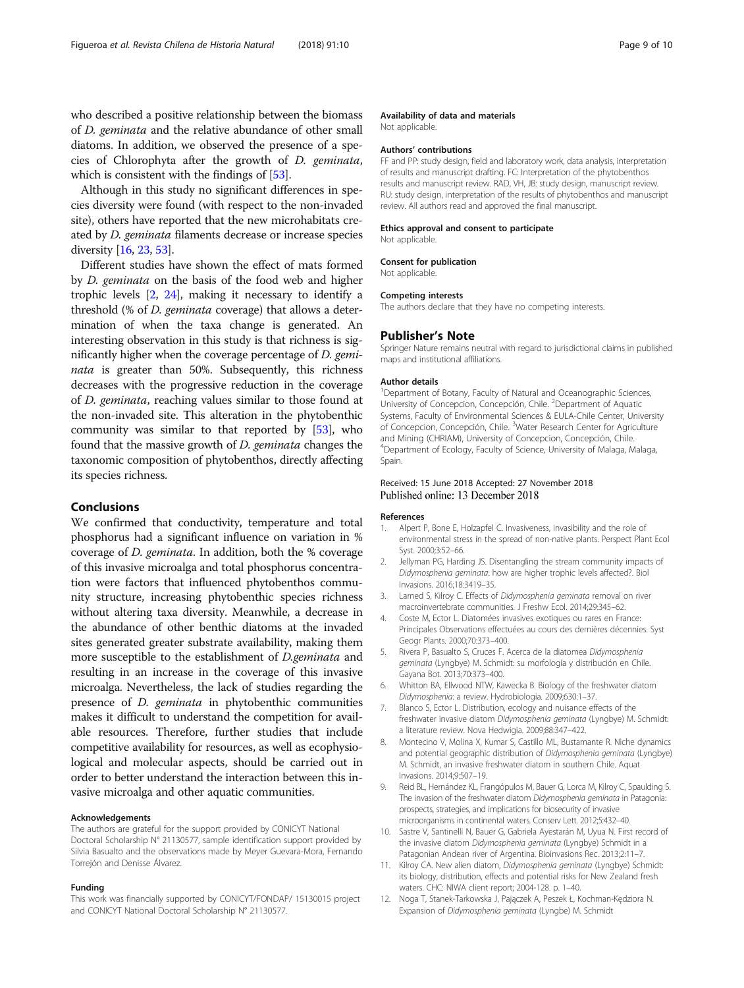<span id="page-8-0"></span>who described a positive relationship between the biomass of D. geminata and the relative abundance of other small diatoms. In addition, we observed the presence of a species of Chlorophyta after the growth of D. geminata, which is consistent with the findings of [\[53](#page-9-0)].

Although in this study no significant differences in species diversity were found (with respect to the non-invaded site), others have reported that the new microhabitats created by D. geminata filaments decrease or increase species diversity [[16,](#page-9-0) [23,](#page-9-0) [53](#page-9-0)].

Different studies have shown the effect of mats formed by D. geminata on the basis of the food web and higher trophic levels [2, [24](#page-9-0)], making it necessary to identify a threshold (% of D. geminata coverage) that allows a determination of when the taxa change is generated. An interesting observation in this study is that richness is significantly higher when the coverage percentage of D. geminata is greater than 50%. Subsequently, this richness decreases with the progressive reduction in the coverage of D. geminata, reaching values similar to those found at the non-invaded site. This alteration in the phytobenthic community was similar to that reported by [\[53\]](#page-9-0), who found that the massive growth of D. geminata changes the taxonomic composition of phytobenthos, directly affecting its species richness.

## Conclusions

We confirmed that conductivity, temperature and total phosphorus had a significant influence on variation in % coverage of D. geminata. In addition, both the % coverage of this invasive microalga and total phosphorus concentration were factors that influenced phytobenthos community structure, increasing phytobenthic species richness without altering taxa diversity. Meanwhile, a decrease in the abundance of other benthic diatoms at the invaded sites generated greater substrate availability, making them more susceptible to the establishment of *D.geminata* and resulting in an increase in the coverage of this invasive microalga. Nevertheless, the lack of studies regarding the presence of D. geminata in phytobenthic communities makes it difficult to understand the competition for available resources. Therefore, further studies that include competitive availability for resources, as well as ecophysiological and molecular aspects, should be carried out in order to better understand the interaction between this invasive microalga and other aquatic communities.

#### Acknowledgements

The authors are grateful for the support provided by CONICYT National Doctoral Scholarship N° 21130577, sample identification support provided by Silvia Basualto and the observations made by Meyer Guevara-Mora, Fernando Torrejón and Denisse Álvarez.

#### Funding

This work was financially supported by CONICYT/FONDAP/ 15130015 project and CONICYT National Doctoral Scholarship N° 21130577.

#### Availability of data and materials

Not applicable.

#### Authors' contributions

FF and PP: study design, field and laboratory work, data analysis, interpretation of results and manuscript drafting. FC: Interpretation of the phytobenthos results and manuscript review. RAD, VH, JB: study design, manuscript review. RU: study design, interpretation of the results of phytobenthos and manuscript review. All authors read and approved the final manuscript.

### Ethics approval and consent to participate

Not applicable.

#### Consent for publication

Not applicable.

#### Competing interests

The authors declare that they have no competing interests.

#### Publisher's Note

Springer Nature remains neutral with regard to jurisdictional claims in published maps and institutional affiliations.

#### Author details

<sup>1</sup>Department of Botany, Faculty of Natural and Oceanographic Sciences, University of Concepcion, Concepción, Chile. <sup>2</sup>Department of Aquatic Systems, Faculty of Environmental Sciences & EULA-Chile Center, University of Concepcion, Concepción, Chile. <sup>3</sup>Water Research Center for Agriculture and Mining (CHRIAM), University of Concepcion, Concepción, Chile. 4 Department of Ecology, Faculty of Science, University of Malaga, Malaga, Spain.

## Received: 15 June 2018 Accepted: 27 November 2018 Published online: 13 December 2018

#### References

- 1. Alpert P, Bone E, Holzapfel C. Invasiveness, invasibility and the role of environmental stress in the spread of non-native plants. Perspect Plant Ecol Syst. 2000;3:52–66.
- 2. Jellyman PG, Harding JS. Disentangling the stream community impacts of Didymosphenia geminata: how are higher trophic levels affected?. Biol Invasions. 2016;18:3419–35.
- Larned S, Kilroy C. Effects of Didymosphenia geminata removal on river macroinvertebrate communities. J Freshw Ecol. 2014;29:345–62.
- 4. Coste M, Ector L. Diatomées invasives exotiques ou rares en France: Principales Observations effectuées au cours des dernières décennies. Syst Geogr Plants. 2000;70:373–400.
- Rivera P, Basualto S, Cruces F. Acerca de la diatomea Didymosphenia geminata (Lyngbye) M. Schmidt: su morfología y distribución en Chile. Gayana Bot. 2013;70:373–400.
- 6. Whitton BA, Ellwood NTW, Kawecka B. Biology of the freshwater diatom Didymosphenia: a review. Hydrobiologia. 2009;630:1–37.
- 7. Blanco S, Ector L. Distribution, ecology and nuisance effects of the freshwater invasive diatom Didymosphenia geminata (Lyngbye) M. Schmidt: a literature review. Nova Hedwigia. 2009;88:347–422.
- 8. Montecino V, Molina X, Kumar S, Castillo ML, Bustamante R. Niche dynamics and potential geographic distribution of Didymosphenia geminata (Lyngbye) M. Schmidt, an invasive freshwater diatom in southern Chile. Aquat Invasions. 2014;9:507–19.
- Reid BL, Hernández KL, Frangópulos M, Bauer G, Lorca M, Kilroy C, Spaulding S. The invasion of the freshwater diatom Didymosphenia geminata in Patagonia: prospects, strategies, and implications for biosecurity of invasive microorganisms in continental waters. Conserv Lett. 2012;5:432–40.
- 10. Sastre V, Santinelli N, Bauer G, Gabriela Ayestarán M, Uyua N. First record of the invasive diatom Didymosphenia geminata (Lyngbye) Schmidt in a Patagonian Andean river of Argentina. Bioinvasions Rec. 2013;2:11–7.
- 11. Kilroy CA. New alien diatom, Didymosphenia geminata (Lyngbye) Schmidt: its biology, distribution, effects and potential risks for New Zealand fresh waters. CHC: NIWA client report; 2004-128. p. 1–40.
- 12. Noga T, Stanek-Tarkowska J, Pajączek A, Peszek Ł, Kochman-Kędziora N. Expansion of Didymosphenia geminata (Lyngbe) M. Schmidt